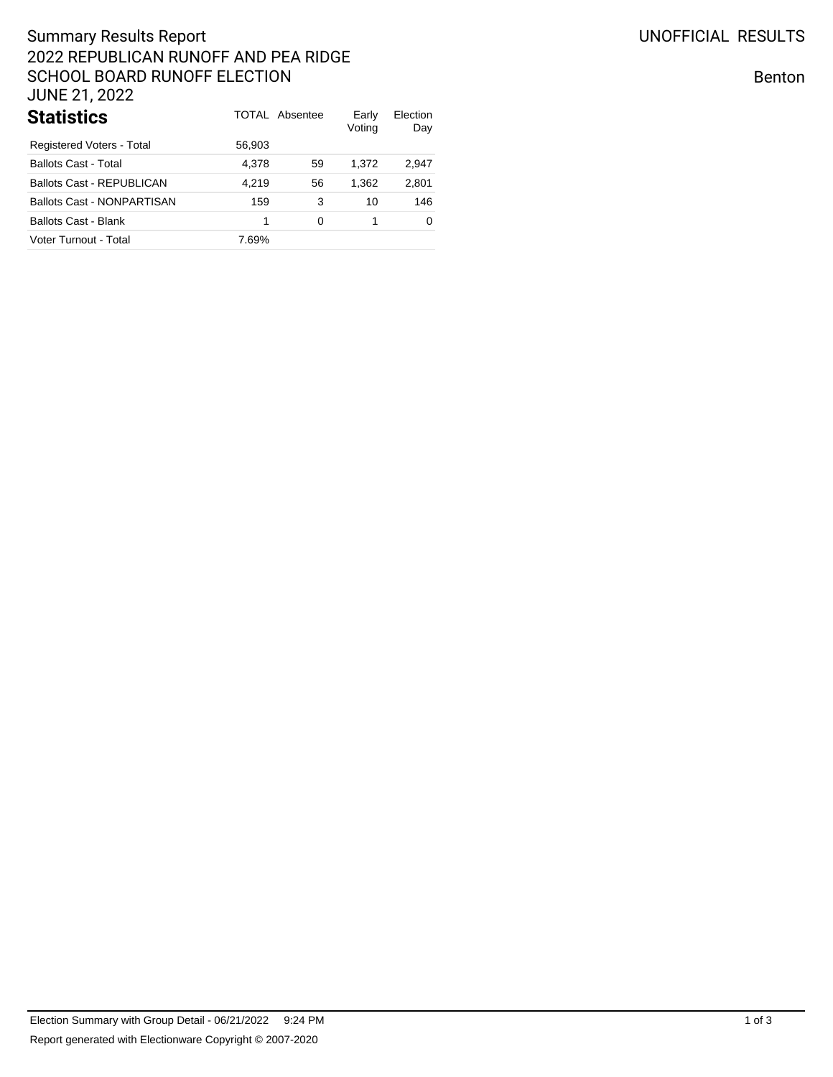# Summary Results Report 2022 REPUBLICAN RUNOFF AND PEA RIDGE SCHOOL BOARD RUNOFF ELECTION JUNE 21, 2022

| <b>Statistics</b>          |        | TOTAL Absentee | Early<br>Voting | Election<br>Day |
|----------------------------|--------|----------------|-----------------|-----------------|
| Registered Voters - Total  | 56,903 |                |                 |                 |
| Ballots Cast - Total       | 4.378  | 59             | 1.372           | 2,947           |
| Ballots Cast - REPUBLICAN  | 4.219  | 56             | 1.362           | 2,801           |
| Ballots Cast - NONPARTISAN | 159    | 3              | 10              | 146             |
| Ballots Cast - Blank       | 1      | 0              |                 | 0               |
| Voter Turnout - Total      | 7.69%  |                |                 |                 |

Benton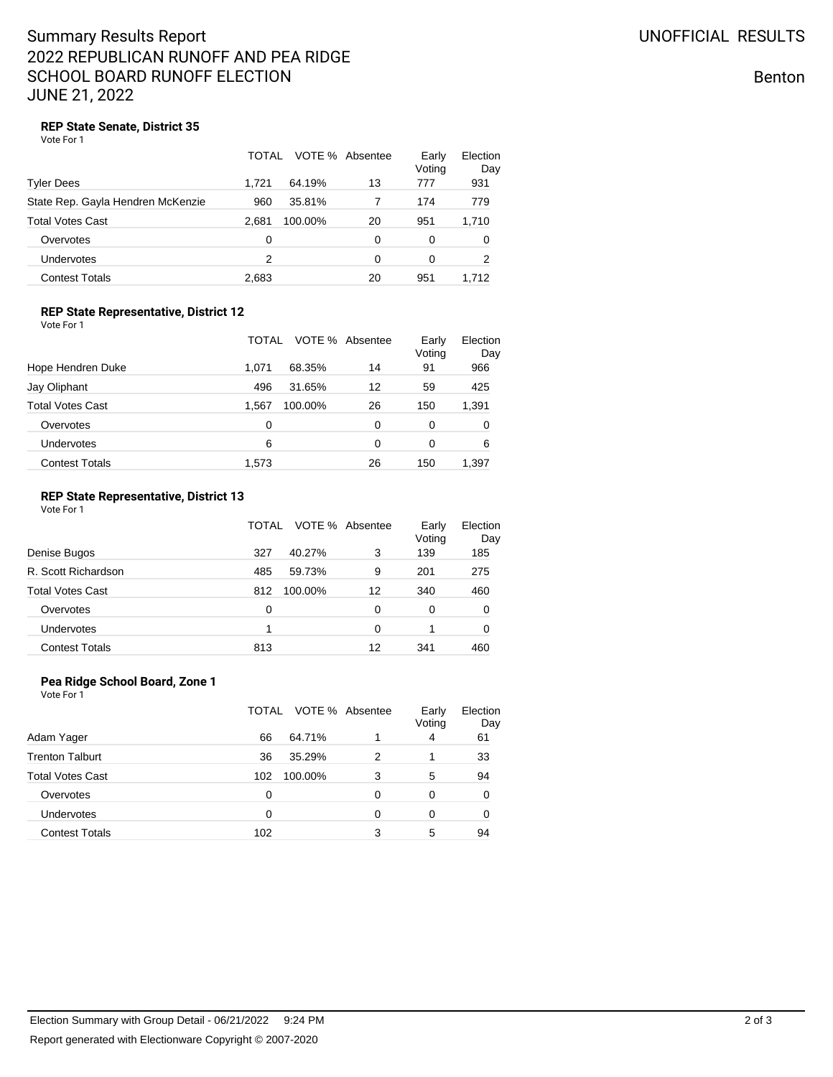## Summary Results Report 2022 REPUBLICAN RUNOFF AND PEA RIDGE SCHOOL BOARD RUNOFF ELECTION JUNE 21, 2022

Benton

### **REP State Senate, District 35**

Vote For 1

|                                   | TOTAL |         | VOTE % Absentee | Early<br>Voting | Election<br>Day |
|-----------------------------------|-------|---------|-----------------|-----------------|-----------------|
| Tyler Dees                        | 1.721 | 64.19%  | 13              | 777             | 931             |
| State Rep. Gayla Hendren McKenzie | 960   | 35.81%  |                 | 174             | 779             |
| <b>Total Votes Cast</b>           | 2.681 | 100.00% | 20              | 951             | 1,710           |
| Overvotes                         | 0     |         | 0               | 0               | 0               |
| Undervotes                        | 2     |         | $\Omega$        | 0               | 2               |
| <b>Contest Totals</b>             | 2,683 |         | 20              | 951             | 1,712           |

#### **REP State Representative, District 12** Vote For 1

|                         | TOTAL            | VOTE % Absentee | Early<br>Voting | Election<br>Day |
|-------------------------|------------------|-----------------|-----------------|-----------------|
| Hope Hendren Duke       | 68.35%<br>1.071  | 14              | 91              | 966             |
| Jay Oliphant            | 496<br>31.65%    | 12              | 59              | 425             |
| <b>Total Votes Cast</b> | 1.567<br>100.00% | 26              | 150             | 1,391           |
| Overvotes               | 0                | 0               | 0               | 0               |
| Undervotes              | 6                | 0               | $\Omega$        | 6               |
| <b>Contest Totals</b>   | 1.573            | 26              | 150             | 1.397           |

#### **REP State Representative, District 13** Vote For 1

|                         | TOTAL |         | VOTE % Absentee | Early<br>Voting | Election<br>Day |
|-------------------------|-------|---------|-----------------|-----------------|-----------------|
| Denise Bugos            | 327   | 40.27%  | 3               | 139             | 185             |
| R. Scott Richardson     | 485   | 59.73%  | 9               | 201             | 275             |
| <b>Total Votes Cast</b> | 812   | 100.00% | 12              | 340             | 460             |
| Overvotes               | 0     |         | 0               | 0               | 0               |
| Undervotes              | 4     |         | 0               |                 | 0               |
| <b>Contest Totals</b>   | 813   |         | 12              | 341             | 460             |

## **Pea Ridge School Board, Zone 1**

Vote For 1

|                         | TOTAL |         | VOTE % Absentee | Early<br>Voting | Election<br>Day |
|-------------------------|-------|---------|-----------------|-----------------|-----------------|
| Adam Yager              | 66    | 64.71%  |                 | 4               | 61              |
| <b>Trenton Talburt</b>  | 36    | 35.29%  | 2               |                 | 33              |
| <b>Total Votes Cast</b> | 102   | 100.00% | 3               | 5               | 94              |
| Overvotes               | 0     |         | 0               | 0               | 0               |
| <b>Undervotes</b>       | 0     |         | 0               | 0               | 0               |
| <b>Contest Totals</b>   | 102   |         | 3               | 5               | 94              |